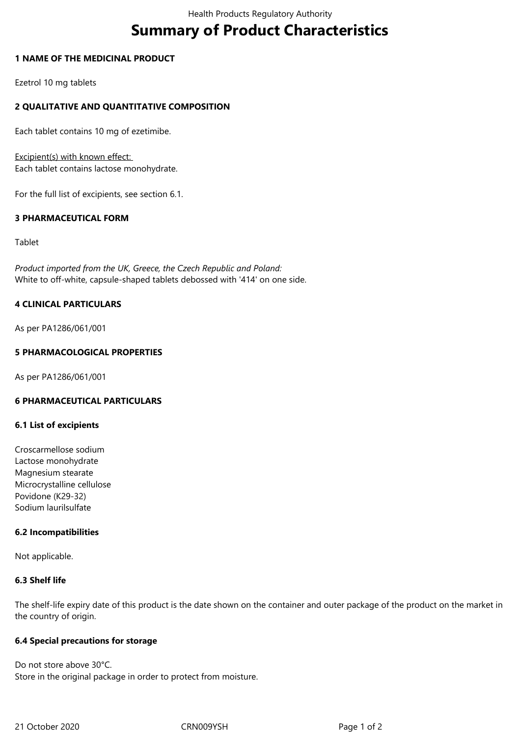# **Summary of Product Characteristics**

# **1 NAME OF THE MEDICINAL PRODUCT**

Ezetrol 10 mg tablets

# **2 QUALITATIVE AND QUANTITATIVE COMPOSITION**

Each tablet contains 10 mg of ezetimibe.

Excipient(s) with known effect: Each tablet contains lactose monohydrate.

For the full list of excipients, see section 6.1.

# **3 PHARMACEUTICAL FORM**

Tablet

*Product imported from the UK, Greece, the Czech Republic and Poland:* White to off-white, capsule-shaped tablets debossed with '414' on one side.

# **4 CLINICAL PARTICULARS**

As per PA1286/061/001

# **5 PHARMACOLOGICAL PROPERTIES**

As per PA1286/061/001

#### **6 PHARMACEUTICAL PARTICULARS**

# **6.1 List of excipients**

Croscarmellose sodium Lactose monohydrate Magnesium stearate Microcrystalline cellulose Povidone (K29-32) Sodium laurilsulfate

#### **6.2 Incompatibilities**

Not applicable.

#### **6.3 Shelf life**

The shelf-life expiry date of this product is the date shown on the container and outer package of the product on the market in the country of origin.

#### **6.4 Special precautions for storage**

Do not store above 30°C. Store in the original package in order to protect from moisture.